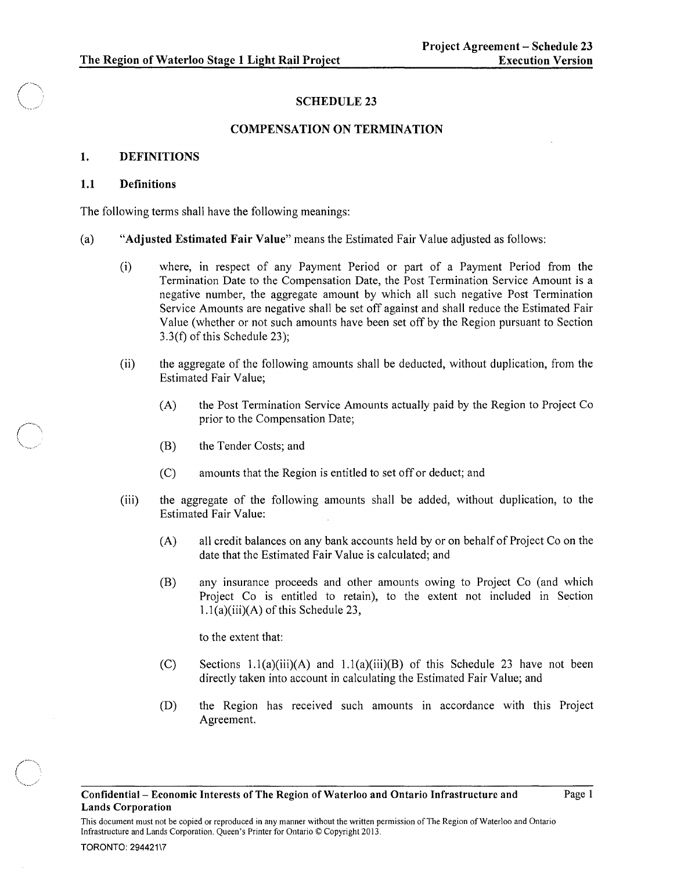## SCHEDULE 23

### COMPENSATION ON TERMINATION

### 1. DEFINITIONS

### **1.1** Definitions

The following terms shall have the following meanings:

- (a) "Adjusted Estimated Fair Value" means the Estimated Fair Value adjusted as follows:
	- (i) where, in respect of any Payment Period or part of a Payment Period from the Termination Date to the Compensation Date, the Post Termination Service Amount is a negative number, the aggregate amount by which all such negative Post Termination Service Amounts are negative shall be set off against and shall reduce the Estimated Fair Value (whether or not such amounts have been set off by the Region pursuant to Section 3.3(f) of this Schedule 23);
	- (ii) the aggregate of the following amounts shall be deducted, without duplication, from the Estimated Fair Value;
		- (A) the Post Termination Service Amounts actually paid by the Region to Project Co prior to the Compensation Date;
		- (B) the Tender Costs; and
		- (C) amounts that the Region is entitled to set off or deduct; and
	- (iii) the aggregate of the following amounts shall be added, without duplication, to the Estimated Fair Value:
		- (A) all credit balances on any bank accounts held by or on behalf of Project Co on the date that the Estimated Fair Value is calculated; and
		- (B) any insurance proceeds and other amounts owing to Project Co (and which Project Co is entitled to retain), to the extent not included in Section  $1.1(a)(iii)(A)$  of this Schedule 23,

to the extent that:

Infrastructure and Lands Corporation. Queen's Printer for Ontario © Copyright 2013.

- (C) Sections  $1.1(a)(iii)(A)$  and  $1.1(a)(iii)(B)$  of this Schedule 23 have not been directly taken into account in calculating the Estimated Fair Value; and
- (D) the Region has received such amounts in accordance with this Project Agreement.

This document must not be copied or reproduced in any manner without the written permission of The Region of Waterloo and Ontario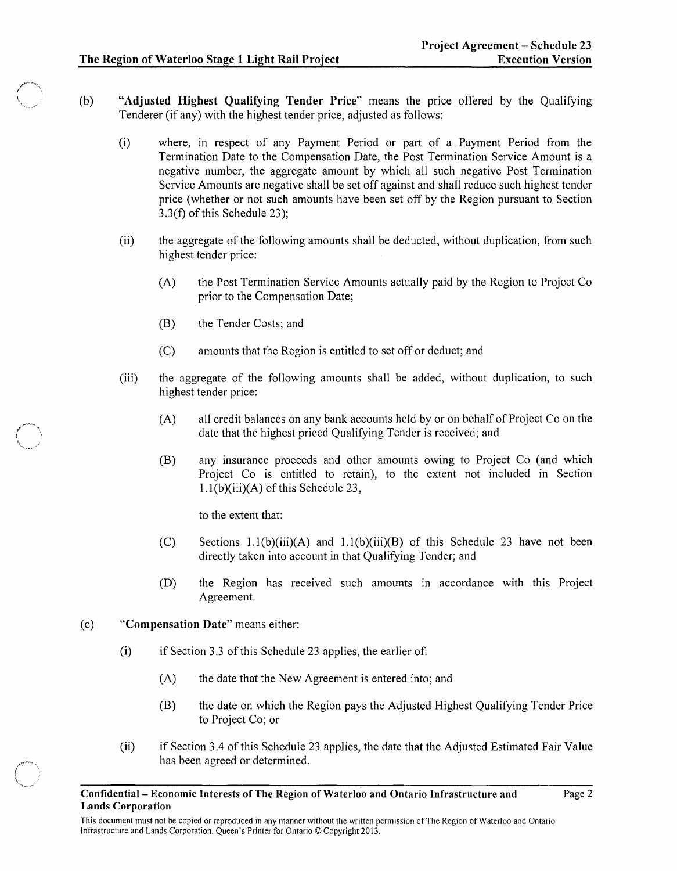Page 2

- (b) "Adjusted Highest Qualifying Tender Price" means the price offered by the Qualifying Tenderer (if any) with the highest tender price, adjusted as follows:
	- (i) where, in respect of any Payment Period or part of a Payment Period from the Termination Date to the Compensation Date, the Post Termination Service Amount is a negative number, the aggregate amount by which all such negative Post Termination Service Amounts are negative shall be set off against and shall reduce such highest tender price (whether or not such amounts have been set off by the Region pursuant to Section 3.3(f) of this Schedule 23);
	- (ii) the aggregate of the following amounts shall be deducted, without duplication, from such highest tender price:
		- (A) the Post Termination Service Amounts actually paid by the Region to Project Co prior to the Compensation Date;
		- (B) the Tender Costs; and
		- (C) amounts that the Region is entitled to set off or deduct; and
	- (iii) the aggregate of the following amounts shall be added, without duplication, to such highest tender price:
		- (A) all credit balances on any bank accounts held by or on behalf of Project Co on the date that the highest priced Qualifying Tender is received; and
		- (B) any insurance proceeds and other amounts owing to Project Co (and which Project Co is entitled to retain), to the extent not included in Section 1.1 (b)(iii)(A) of this Schedule 23,

to the extent that:

- (C) Sections  $1.1(b)(iii)(A)$  and  $1.1(b)(iii)(B)$  of this Schedule 23 have not been directly taken into account in that Qualifying Tender; and
- (D) the Region has received such amounts in accordance with this Project Agreement.
- (c) "Compensation Date" means either:
	- $(i)$  if Section 3.3 of this Schedule 23 applies, the earlier of:
		- (A) the date that the New Agreement is entered into; and
		- (B) the date on which the Region pays the Adjusted Highest Qualifying Tender Price to Project Co; or
	- (ii) if Section 3.4 of this Schedule 23 applies, the date that the Adjusted Estimated Fair Value has been agreed or determined.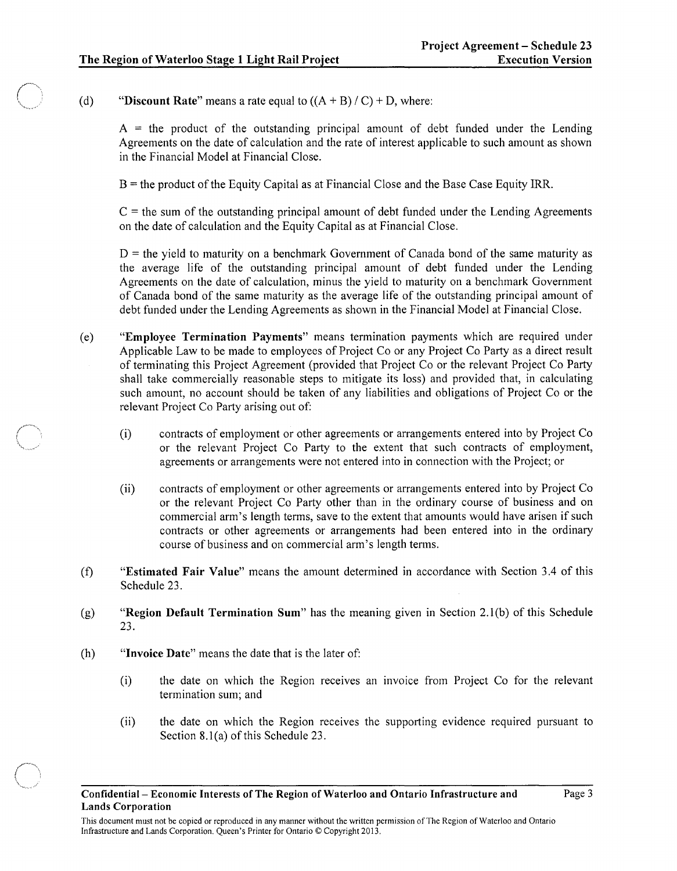(d) "Discount Rate" means a rate equal to  $((A + B) / C) + D$ , where:

 $A =$  the product of the outstanding principal amount of debt funded under the Lending Agreements on the date of calculation and the rate of interest applicable to such amount as shown in the Financial Model at Financial Close.

B = the product of the Equity Capital as at Financial Close and the Base Case Equity IRR.

 $C =$  the sum of the outstanding principal amount of debt funded under the Lending Agreements on the date of calculation and the Equity Capital as at Financial Close.

 $D =$  the yield to maturity on a benchmark Government of Canada bond of the same maturity as the average life of the outstanding principal amount of debt funded under the Lending Agreements on the date of calculation, minus the yield to maturity on a benchmark Government of Canada bond of the same maturity as the average life of the outstanding principal amount of debt funded under the Lending Agreements as shown in the Financial Model at Financial Close.

- (e) "Employee Termination Payments" means termination payments which are required under Applicable Law to be made to employees of Project Co or any Project Co Party as a direct result of terminating this Project Agreement (provided that Project Co or the relevant Project Co Party shall take commercially reasonable steps to mitigate its loss) and provided that, in calculating such amount, no account should be taken of any liabilities and obligations of Project Co or the relevant Project Co Party arising out of:
	- (i) contracts of employment or other agreements or arrangements entered into by Project Co or the relevant Project Co Party to the extent that such contracts of employment, agreements or arrangements were not entered into in connection with the Project; or
	- (ii) contracts of employment or other agreements or arrangements entered into by Project Co or the relevant Project Co Party other than in the ordinary course of business and on commercial arm's length terms, save to the extent that amounts would have arisen if such contracts or other agreements or arrangements had been entered into in the ordinary course of business and on commercial arm's length terms.
- (t) "Estimated Fair Value" means the amount determined in accordance with Section 3.4 of this Schedule 23.
- (g) "Region Default Termination Sum" has the meaning given in Section 2.1 (b) of this Schedule 23.
- (h) "Invoice Date" means the date that is the later of:
	- (i) the date on which the Region receives an invoice from Project Co for the relevant termination sum; and
	- (ii) the date on which the Region receives the supporting evidence required pursuant to Section 8.l(a) of this Schedule 23.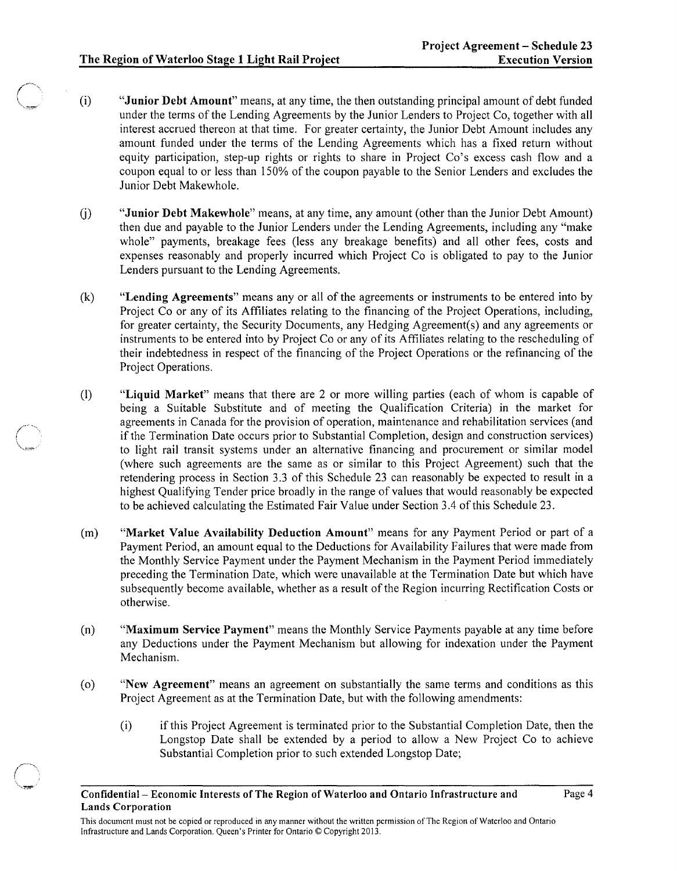$\overline{\phantom{a}}$ '\~~,

- (i) "Junior Debt Amount" means, at any time, the then outstanding principal amount of debt funded under the terms of the Lending Agreements by the Junior Lenders to Project Co, together with all interest accrued thereon at that time. For greater certainty, the Junior Debt Amount includes any amount funded under the terms of the Lending Agreements which has a fixed return without equity participation, step-up rights or rights to share in Project Co's excess cash flow and a coupon equal to or less than 150% of the coupon payable to the Senior Lenders and excludes the Junior Debt Makewhole.
- (j) "Junior Debt Makewhole" means, at any time, any amount (other than the Junior Debt Amount) then due and payable to the Junior Lenders under the Lending Agreements, including any "make whole" payments, breakage fees (less any breakage benefits) and all other fees, costs and expenses reasonably and properly incurred which Project Co is obligated to pay to the Junior Lenders pursuant to the Lending Agreements.
- (k) "Lending Agreements" means any or all of the agreements or instruments to be entered into by Project Co or any of its Affiliates relating to the financing of the Project Operations, including, for greater certainty, the Security Documents, any Hedging Agreement(s) and any agreements or instruments to be entered into by Project Co or any of its Affiliates relating to the rescheduling of their indebtedness in respect of the financing of the Project Operations or the refinancing of the Project Operations.
- (I) "Liquid Market" means that there are 2 or more willing parties (each of whom is capable of being a Suitable Substitute and of meeting the Qualification Criteria) in the market for agreements in Canada for the provision of operation, maintenance and rehabilitation services (and if the Termination Date occurs prior to Substantial Completion, design and construction services) to light rail transit systems under an alternative financing and procurement or similar model (where such agreements are the same as or similar to this Project Agreement) such that the retendering process in Section 3.3 of this Schedule 23 can reasonably be expected to result in a highest Qualifying Tender price broadly in the range of values that would reasonably be expected to be achieved calculating the Estimated Fair Value under Section 3.4 of this Schedule 23.
- (m) "Market Value Availability Deduction Amount" means for any Payment Period or part of a Payment Period, an amount equal to the Deductions for Availability Failures that were made from the Monthly Service Payment under the Payment Mechanism in the Payment Period immediately preceding the Termination Date, which were unavailable at the Termination Date but which have subsequently become available, whether as a result of the Region incurring Rectification Costs or otherwise.
- (n) "Maximum Service Payment" means the Monthly Service Payments payable at any time before any Deductions under the Payment Mechanism but allowing for indexation under the Payment Mechanism.
- (0) "New Agreement" means an agreement on substantially the same terms and conditions as this Project Agreement as at the Termination Date, but with the following amendments:
	- (i) if this Project Agreement is terminated prior to the Substantial Completion Date, then the Longstop Date shall be extended by a period to allow a New Project Co to achieve Substantial Completion prior to such extended Longstop Date;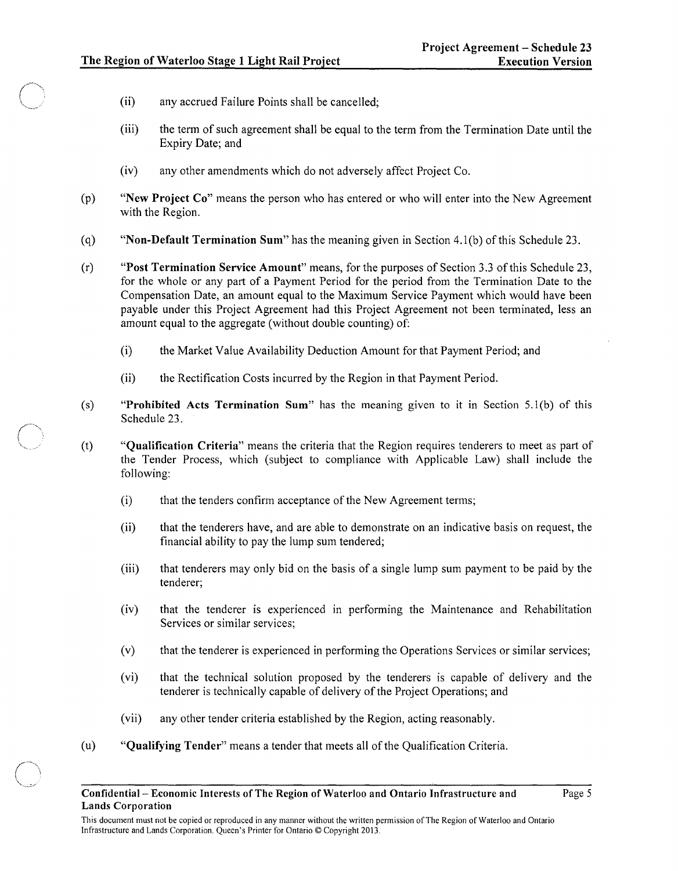- (ii) any accrued Failure Points shall be cancelled;
- (iii) the term of such agreement shall be equal to the term from the Termination Date until the Expiry Date; and
- (iv) any other amendments which do not adversely affect Project Co.
- (p) "New Project Co" means the person who has entered or who will enter into the New Agreement with the Region.
- (q) "Non-Default Termination Sum" has the meaning given in Section 4.1(b) of this Schedule 23.
- (r) "Post Termination Service Amount" means, for the purposes of Section 3.3 ofthis Schedule 23, for the whole or any part of a Payment Period for the period from the Termination Date to the Compensation Date, an amount equal to the Maximum Service Payment which would have been payable under this Project Agreement had this Project Agreement not been terminated, less an amount equal to the aggregate (without double counting) of:
	- (i) the Market Value Availability Deduction Amount for that Payment Period; and
	- (ii) the Rectification Costs incurred by the Region in that Payment Period.
- (s) "Prohibited Acts Termination Sum" has the meaning given to it in Section  $5.1(b)$  of this Schedule 23.
- (t) "Qualification Criteria" means the criteria that the Region requires tenderers to meet as part of the Tender Process, which (subject to compliance with Applicable Law) shall include the following:
	- (i) that the tenders confirm acceptance of the New Agreement terms;
	- (ii) that the tenderers have, and are able to demonstrate on an indicative basis on request, the financial ability to pay the lump sum tendered;
	- (iii) that tenderers may only bid on the basis of a single lump sum payment to be paid by the tenderer;
	- (iv) that the tenderer is experienced in performing the Maintenance and Rehabilitation Services or similar services;
	- (v) that the tenderer is experienced in performing the Operations Services or similar services;
	- (vi) that the technical solution proposed by the tenderers is capable of delivery and the tenderer is technically capable of delivery of the Project Operations; and
	- (vii) any other tender criteria established by the Region, acting reasonably.
- (u) "Qualifying Tender" means a tender that meets all of the Qualification Criteria.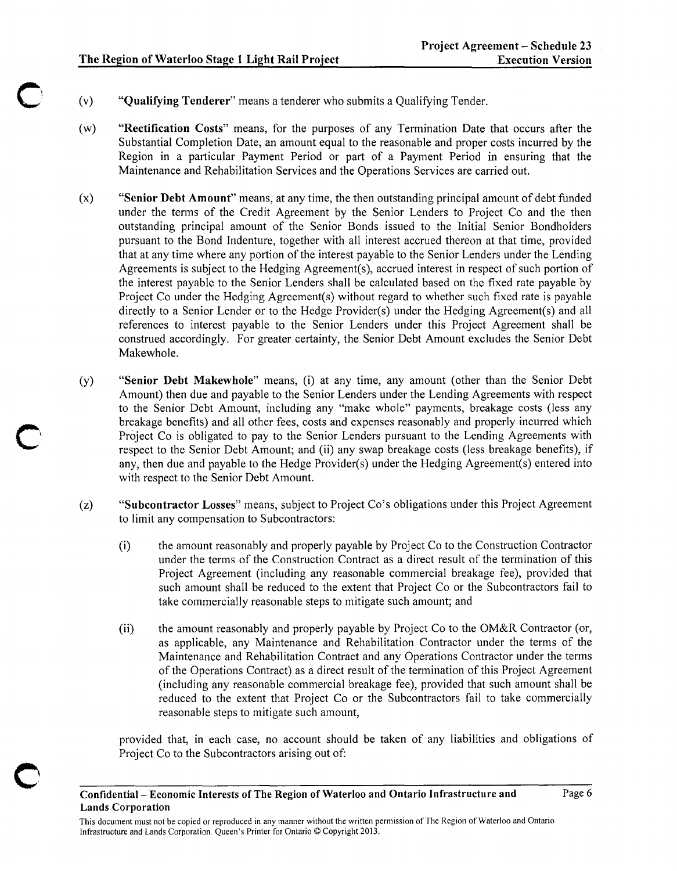- (v) "Qualifying Tenderer" means a tenderer who submits a Qualifying Tender.
- (w) "Rectification Costs" means, for the purposes of any Termination Date that occurs after the Substantial Completion Date, an amount equal to the reasonable and proper costs incurred by the Region in a particular Payment Period or part of a Payment Period in ensuring that the Maintenance and Rehabilitation Services and the Operations Services are carried out.
- (x) "Senior Debt Amount" means, at any time, the then outstanding principal amount of debt funded under the terms of the Credit Agreement by the Senior Lenders to Project Co and the then outstanding principal amount of the Senior Bonds issued to the Initial Senior Bondholders pursuant to the Bond Indenture, together with all interest accrued thereon at that time, provided that at any time where any portion of the interest payable to the Senior Lenders under the Lending Agreements is subject to the Hedging Agreement(s), accrued interest in respect of such portion of the interest payable to the Senior Lenders shall be calculated based on the fixed rate payable by Project Co under the Hedging Agreement(s) without regard to whether such fixed rate is payable directly to a Senior Lender or to the Hedge Provider(s) under the Hedging Agreement(s) and all references to interest payable to the Senior Lenders under this Project Agreement shall be construed accordingly. For greater certainty, the Senior Debt Amount excludes the Senior Debt Makewhole.
- (y) "Senior Debt Makewhole" means, (i) at any time, any amount (other than the Senior Debt Amount) then due and payable to the Senior Lenders under the Lending Agreements with respect to the Senior Debt Amount, including any "make whole" payments, breakage costs (less any breakage benefits) and all other fees, costs and expenses reasonably and properly incurred which Project Co is obligated to pay to the Senior Lenders pursuant to the Lending Agreements with respect to the Senior Debt Amount; and (ii) any swap breakage costs (less breakage benefits), if any, then due and payable to the Hedge Provider(s) under the Hedging Agreement(s) entered into with respect to the Senior Debt Amount.
- (z) "Subcontractor Losses" means, subject to Project Co's obligations under this Project Agreement to limit any compensation to Subcontractors:
	- (i) the amount reasonably and properly payable by Project Co to the Construction Contractor under the terms of the Construction Contract as a direct result of the termination of this Project Agreement (including any reasonable commercial breakage fee), provided that such amount shall be reduced to the extent that Project Co or the Subcontractors fail to take commercially reasonable steps to mitigate such amount; and
	- (ii) the amount reasonably and properly payable by Project Co to the OM&R Contractor (or, as applicable, any Maintenance and Rehabilitation Contractor under the terms of the Maintenance and Rehabilitation Contract and any Operations Contractor under the terms of the Operations Contract) as a direct result of the termination of this Project Agreement (including any reasonable commercial breakage fee), provided that such amount shall be reduced to the extent that Project Co or the Subcontractors fail to take commercially reasonable steps to mitigate such amount,

provided that, in each case, no account should be taken of any liabilities and obligations of Project Co to the Subcontractors arising out of:

o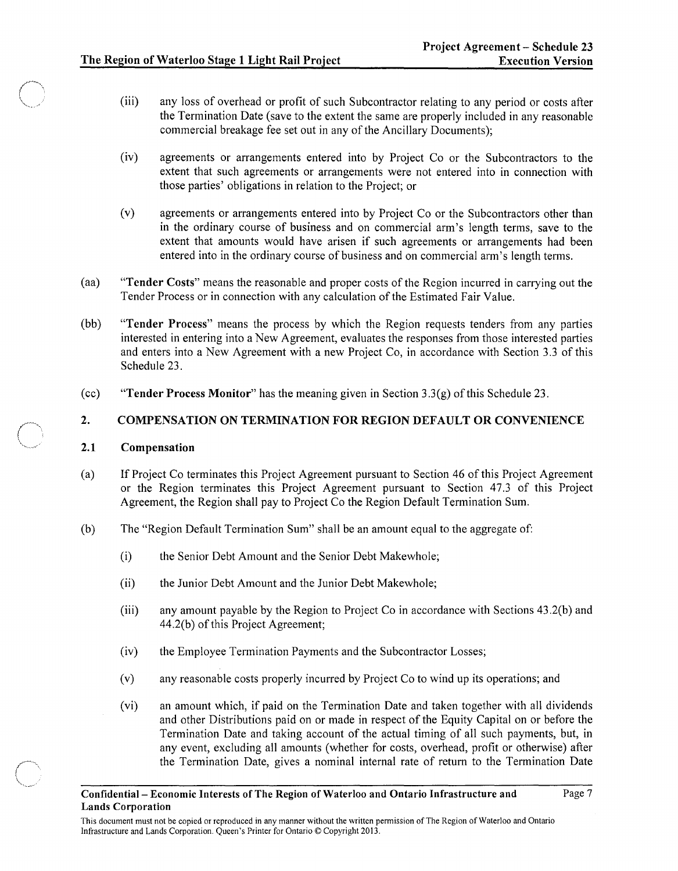- (iii) any loss of overhead or profit of such Subcontractor relating to any period or costs after the Termination Date (save to the extent the same are properly included in any reasonable commercial breakage fee set out in any of the Ancillary Documents);
- (iv) agreements or arrangements entered into by Project Co or the Subcontractors to the extent that such agreements or arrangements were not entered into in connection with those parties' obligations in relation to the Project; or
- (v) agreements or arrangements entered into by Project Co or the Subcontractors other than in the ordinary course of business and on commercial arm's length terms, save to the extent that amounts would have arisen if such agreements or arrangements had been entered into in the ordinary course of business and on commercial arm's length terms.
- (aa) "Tender Costs" means the reasonable and proper costs of the Region incurred in carrying out the Tender Process or in connection with any calculation of the Estimated Fair Value.
- (bb) "Tender Process" means the process by which the Region requests tenders from any parties interested in entering into a New Agreement, evaluates the responses from those interested parties and enters into a New Agreement with a new Project Co, in accordance with Section 3.3 of this Schedule 23.
- (cc) "Tender Process Monitor" has the meaning given in Section  $3.3(g)$  of this Schedule 23.

## 2. COMPENSATION ON TERMINATION FOR REGION DEFAULT OR CONVENIENCE

### 2.1 Compensation

- (a) If Project Co terminates this Project Agreement pursuant to Section 46 of this Project Agreement or the Region terminates this Project Agreement pursuant to Section 47.3 of this Project Agreement, the Region shall pay to Project Co the Region Default Termination Sum.
- (b) The "Region Default Termination Sum" shall be an amount equal to the aggregate of:
	- (i) the Senior Debt Amount and the Senior Debt Makewhole;
	- (ii) the Junior Debt Amount and the Junior Debt Makewhole;
	- (iii) any amount payable by the Region to Project Co in accordance with Sections 43 .2(b) and 44.2(b) of this Project Agreement;
	- (iv) the Employee Termination Payments and the Subcontractor Losses;
	- (v) any reasonable costs properly incurred by Project Co to wind up its operations; and
	- (vi) an amount which, if paid on the Termination Date and taken together with alI dividends and other Distributions paid on or made in respect of the Equity Capital on or before the Termination Date and taking account of the actual timing of all such payments, but, in any event, excluding all amounts (whether for costs, overhead, profit or otherwise) after the Termination Date, gives a nominal internal rate of return to the Termination Date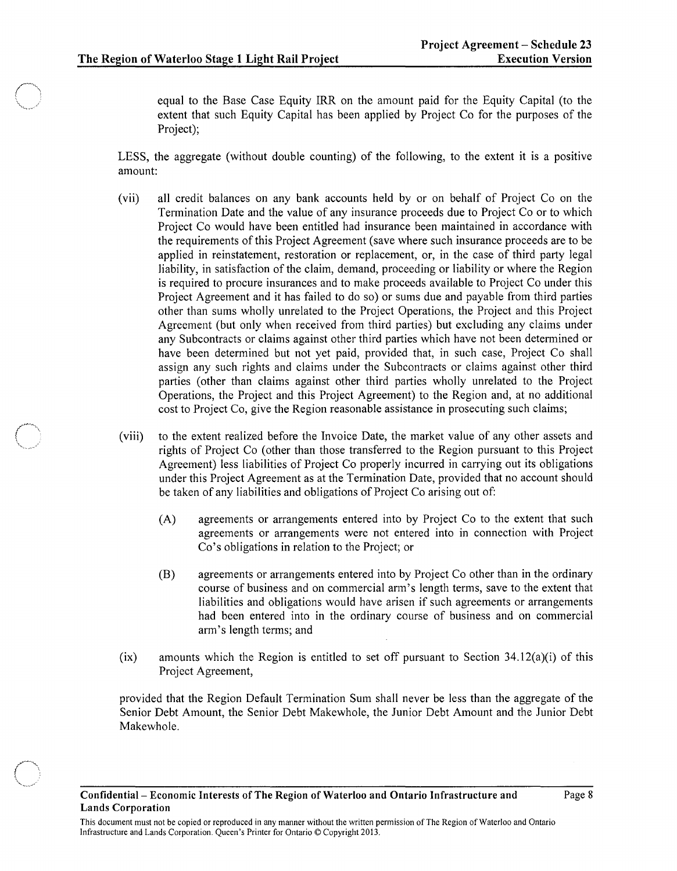equal to the Base Case Equity IRR on the amount paid for the Equity Capital (to the extent that such Equity Capital has been applied by Project Co for the purposes of the Project);

LESS, the aggregate (without double counting) of the following, to the extent it is a positive amount:

- (vii) all credit balances on any bank accounts held by or on behalf of Project Co on the Termination Date and the value of any insurance proceeds due to Project Co or to which Project Co would have been entitled had insurance been maintained in accordance with the requirements of this Project Agreement (save where such insurance proceeds are to be applied in reinstatement, restoration or replacement, or, in the case of third party legal liability, in satisfaction of the claim, demand, proceeding or liability or where the Region is required to procure insurances and to make proceeds available to Project Co under this Project Agreement and it has failed to do so) or sums due and payable from third parties other than sums wholly unrelated to the Project Operations, the Project and this Project Agreement (but only when received from third parties) but excluding any claims under any Subcontracts or claims against other third parties which have not been determined or have been determined but not yet paid, provided that, in such case, Project Co shall assign any such rights and claims under the Subcontracts or claims against other third parties (other than claims against other third parties wholly unrelated to the Project Operations, the Project and this Project Agreement) to the Region and, at no additional cost to Project Co, give the Region reasonable assistance in prosecuting such claims;
- (viii) to the extent realized before the Invoice Date, the market value of any other assets and rights of Project Co (other than those transferred to the Region pursuant to this Project Agreement) less liabilities of Project Co properly incurred in carrying out its obligations under this Project Agreement as at the Termination Date, provided that no account should be taken of any liabilities and obligations of Project Co arising out of:
	- (A) agreements or arrangements entered into by Project Co to the extent that such agreements or arrangements were not entered into in connection with Project Co's obligations in relation to the Project; or
	- (B) agreements or arrangements entered into by Project Co other than in the ordinary course of business and on commercial arm's length terms, save to the extent that liabilities and obligations would have arisen if such agreements or arrangements had been entered into in the ordinary course of business and on commercial arm's length terms; and
- (ix) amounts which the Region is entitled to set off pursuant to Section 34.12(a)(i) of this Project Agreement,

provided that the Region Default Termination Sum shall never be less than the aggregate of the Senior Debt Amount, the Senior Debt Makewhole, the Junior Debt Amount and the Junior Debt Makewhole.

This document must not be copied or reproduced in any manner without the written permission of The Region of Waterloo and Ontario Infrastructure and Lands Corporation. Queen's Printer for Ontario © Copyright 2013.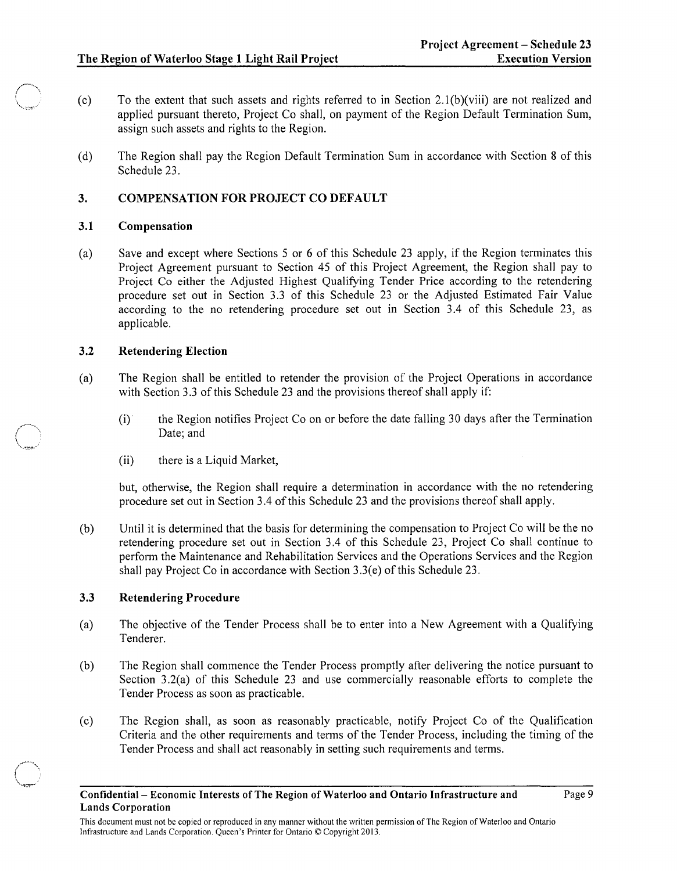- (c) To the extent that such assets and rights referred to in Section 2.1(b)(viii) are not realized and applied pursuant thereto, Project Co shall, on payment of the Region Default Termination Sum, assign such assets and rights to the Region.
- (d) The Region shall pay the Region Default Termination Sum in accordance with Section 8 of this Schedule 23.

## **3. COMPENSATION FOR PROJECT CO DEFAULT**

### **3.1 Compensation**

 $\bigcirc$  .  $\,$ 

 $\bigcap$ 

 $\cdots$  .  $\cdots$   $\cdots$   $\cdots$ 

(a) Save and except where Sections 5 or 6 of this Schedule 23 apply, if the Region terminates this Project Agreement pursuant to Section 45 of this Project Agreement, the Region shall pay to Project Co either the Adjusted Highest Qualifying Tender Price according to the retendering procedure set out in Section 3.3 of this Schedule 23 or the Adjusted Estimated Fair Value according to the no retendering procedure set out in Section 3.4 of this Schedule 23, as applicable.

### **3.2 Retendering Election**

- (a) The Region shall be entitled to retender the provision of the Project Operations in accordance with Section 3.3 of this Schedule 23 and the provisions thereof shall apply if:
	- (i) the Region notifies Project Co on or before the date falling 30 days after the Termination Date; and
	- (ii) there is a Liquid Market,

but, otherwise, the Region shall require a determination in accordance with the no retendering procedure set out in Section 3.4 of this Schedule 23 and the provisions thereof shall apply.

(b) Until it is determined that the basis for determining the compensation to Project Co will be the no retendering procedure set out in Section 3.4 of this Schedule 23, Project Co shall continue to perform the Maintenance and Rehabilitation Services and the Operations Services and the Region shall pay Project Co in accordance with Section  $3.3(e)$  of this Schedule 23.

### **3.3 Retendering Procedure**

- (a) The objective of the Tender Process shall be to enter into a New Agreement with a Qualifying Tenderer.
- (b) The Region shall commence the Tender Process promptly after delivering the notice pursuant to Section 3.2(a) of this Schedule 23 and use commercially reasonable efforts to complete the Tender Process as soon as practicable.
- (c) The Region shall, as soon as reasonably practicable, notify Project Co of the Qualification Criteria and the other requirements and terms of the Tender Process, including the timing of the Tender Process and shall act reasonably in setting such requirements and terms.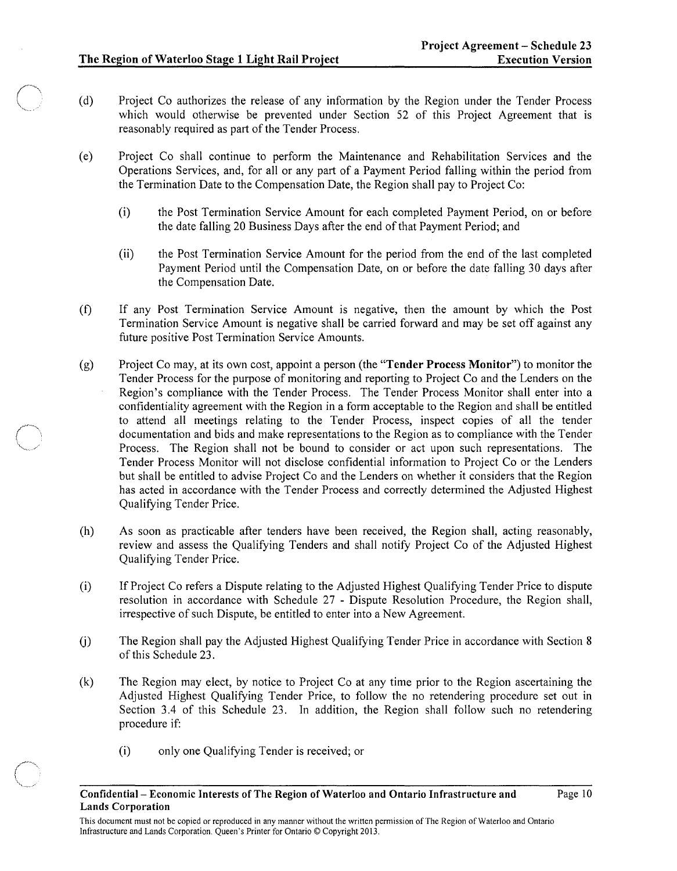- (d) Project Co authorizes the release of any information by the Region under the Tender Process which would otherwise be prevented under Section 52 of this Project Agreement that is reasonably required as part of the Tender Process.
- ( e) Project Co shall continue to perform the Maintenance and Rehabilitation Services and the Operations Services, and, for all or any part of a Payment Period falling within the period from the Termination Date to the Compensation Date, the Region shall pay to Project Co:
	- (i) the Post Termination Service Amount for each completed Payment Period, on or before the date falling 20 Business Days after the end of that Payment Period; and
	- (ii) the Post Termination Service Amount for the period from the end of the last completed Payment Period until the Compensation Date, on or before the date falling 30 days after the Compensation Date.
- (f) If any Post Termination Service Amount is negative, then the amount by which the Post Termination Service Amount is negative shall be carried forward and may be set off against any future positive Post Termination Service Amounts.
- (g) Project Co may, at its own cost, appoint a person (the "Tender Process Monitor") to monitor the Tender Process for the purpose of monitoring and reporting to Project Co and the Lenders on the Region's compliance with the Tender Process. The Tender Process Monitor shall enter into a confidentiality agreement with the Region in a form acceptable to the Region and shall be entitled to attend all meetings relating to the Tender Process, inspect copies of all the tender documentation and bids and make representations to the Region as to compliance with the Tender Process. The Region shall not be bound to consider or act upon such representations. The Tender Process Monitor will not disclose confidential information to Project Co or the Lenders but shall be entitled to advise Project Co and the Lenders on whether it considers that the Region has acted in accordance with the Tender Process and correctly determined the Adjusted Highest Qualifying Tender Price.
- (h) As soon as practicable after tenders have been received, the Region shall, acting reasonably, review and assess the Qualifying Tenders and shall notify Project Co of the Adjusted Highest Qualifying Tender Price.
- (i) If Project Co refers a Dispute relating to the Adjusted Highest Qualifying Tender Price to dispute resolution in accordance with Schedule 27 - Dispute Resolution Procedure, the Region shall, irrespective of such Dispute, be entitled to enter into a New Agreement.
- U) The Region shall pay the Adjusted Highest Qualifying Tender Price in accordance with Section 8 of this Schedule 23.
- (k) The Region may elect, by notice to Project Co at any time prior to the Region ascertaining the Adjusted Highest Qualifying Tender Price, to follow the no retendering procedure set out in Section 3.4 of this Schedule 23. In addition, the Region shall follow such no retendering procedure if:
	- (i) only one Qualifying Tender is received; or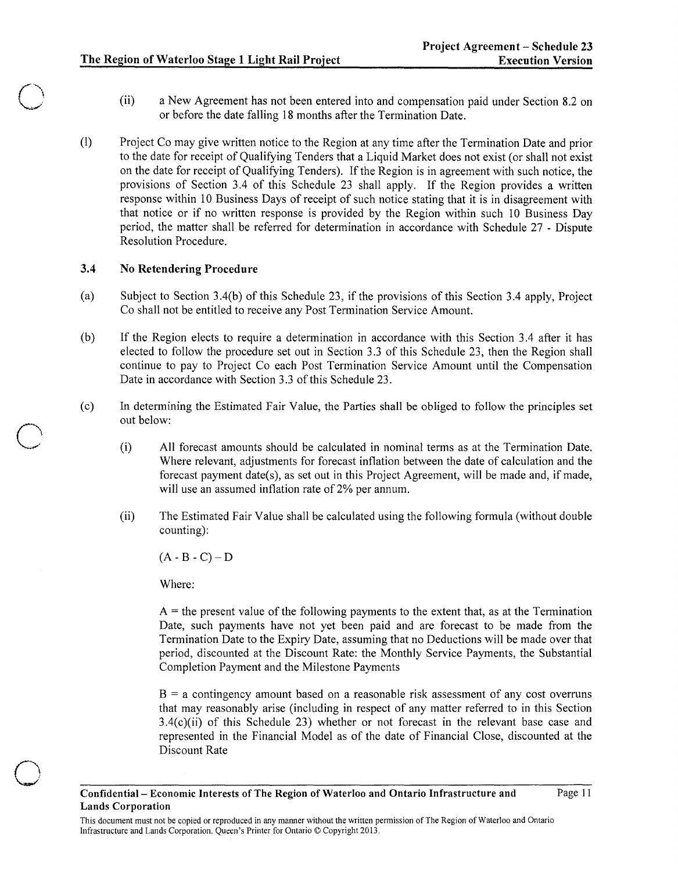- (ii) a New Agreement has not been entered into and compensation paid under Section 8.2 on or before the date falling 18 months after the Termination Date.
- (I) Project Co may give written notice to the Region at any time after the Termination Date and prior to the date for receipt of Qualifying Tenders that a Liquid Market does not exist (or shall not exist on the date for receipt of Qualifying Tenders). If the Region is in agreement with such notice, the provisions of Section 3.4 of this Schedule 23 shall apply. If the Region provides a written response within 10 Business Days of receipt of such notice stating that it is in disagreement with that notice or if no written response is provided by the Region within such 10 Business Day period, the matter shall be referred for determination in accordance with Schedule 27 - Dispute Resolution Procedure.

### 3.4 No Retendering Procedure

 $\bigcirc$ 

o

- (a) Subject to Section 3.4(b) of this Schedule 23, if the provisions of this Section 3.4 apply, Project Co shall not be entitled to receive any Post Termination Service Amount.
- (b) If the Region elects to require a determination in accordance with this Section 3.4 after it has elected to follow the procedure set out in Section 3.3 of this Schedule 23, then the Region shall continue to pay to Project Co each Post Termination Service Amount until the Compensation Date in accordance with Section 3.3 of this Schedule 23.
- (c) In determining the Estimated Fair Value, the Parties shall be obliged to follow the principles set out below:
	- (i) All forecast amounts should be calculated in nominal terms as at the Termination Date. Where relevant, adjustments for forecast inflation between the date of calculation and the forecast payment date(s), as set out in this Project Agreement, will be made and, if made, will use an assumed inflation rate of 2% per annum.
	- (ii) The Estimated Fair Value shall be calculated using the following formula (without double counting):

 $(A - B - C) - D$ 

Where:

 $A =$  the present value of the following payments to the extent that, as at the Termination Date, such payments have not yet been paid and are forecast to be made from the Termination Date to the Expiry Date, assuming that no Deductions will be made over that period, discounted at the Discount Rate: the Monthly Service Payments, the Substantial Completion Payment and the Milestone Payments

 $B = a$  contingency amount based on a reasonable risk assessment of any cost overruns that may reasonably arise (including in respect of any matter referred to in this Section 3.4(c)(ii) of this Schedule 23) whether or not forecast in the relevant base case and represented in the Financial Model as of the date of Financial Close, discounted at the Discount Rate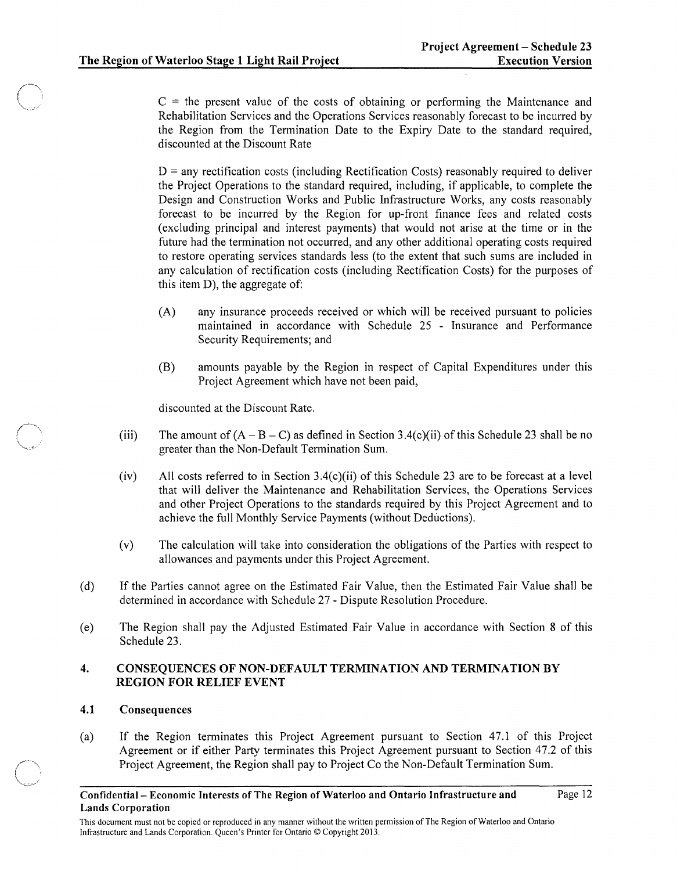$C =$  the present value of the costs of obtaining or performing the Maintenance and Rehabilitation Services and the Operations Services reasonably forecast to be incurred by the Region from the Tennination Date to the Expiry Date to the standard required, discounted at the Discount Rate

 $D =$  any rectification costs (including Rectification Costs) reasonably required to deliver the Project Operations to the standard required, including, if applicable, to complete the Design and Construction Works and Public Infrastructure Works, any costs reasonably forecast to be incurred by the Region for up-front finance fees and related costs (excluding principal and interest payments) that would not arise at the time or in the future had the termination not occurred, and any other additional operating costs required to restore operating services standards less (to the extent that such sums are included in any calculation of rectification costs (including Rectification Costs) for the purposes of this item D), the aggregate of:

- (A) any insurance proceeds received or which will be received pursuant to policies maintained in accordance with Schedule 25 - Insurance and Performance Security Requirements; and
- (B) amounts payable by the Region in respect of Capital Expenditures under this Project Agreement which have not been paid,

discounted at the Discount Rate.

- (iii) The amount of  $(A - B - C)$  as defined in Section 3.4(c)(ii) of this Schedule 23 shall be no greater than the Non-Default Termination Sum.
- (iv) All costs referred to in Section 3A(c)(ii) of this Schedule 23 are to be forecast at a level that will deliver the Maintenance and Rehabilitation Services, the Operations Services and other Project Operations to the standards required by this Project Agreement and to achieve the full Monthly Service Payments (without Deductions).
- (v) The calculation will take into consideration the obligations of the Parties with respect to allowances and payments under this Project Agreement.
- (d) If the Parties cannot agree on the Estimated Fair Value, then the Estimated Fair Value shall be determined in accordance with Schedule 27 - Dispute Resolution Procedure.
- (e) The Region shall pay the Adjusted Estimated Fair Value in accordance with Section 8 of this Schedule 23.

### 4. CONSEQUENCES OF NON-DEFAULT TERMINATION AND TERMINATION BY REGION FOR RELIEF EVENT

### 4.1 Consequences

(a) If the Region terminates this Project Agreement pursuant to Section 47.1 of this Project Agreement or if either Party terminates this Project Agreement pursuant to Section 47.2 of this Project Agreement, the Region shall pay to Project Co the Non-Default Termination Sum.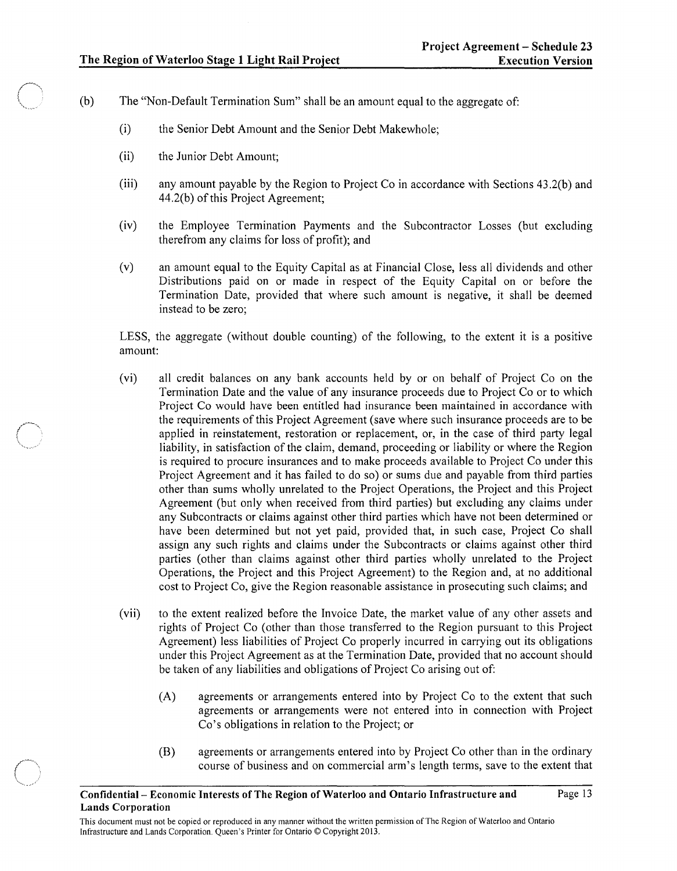- (b) The "Non-Default Termination Sum" shall be an amount equal to the aggregate of:
	- (i) the Senior Debt Amount and the Senior Debt Makewhole;
	- (ii) the Junior Debt Amount;

 $\{+++\}$  $\cdots$  .

- (iii) any amount payable by the Region to Project Co in accordance with Sections 43.2(b) and 44.2(b) of this Project Agreement;
- (iv) the Employee Termination Payments and the Subcontractor Losses (but excluding therefrom any claims for loss of profit); and
- (v) an amount equal to the Equity Capital as at Financial Close, less all dividends and other Distributions paid on or made in respect of the Equity Capital on or before the Termination Date, provided that where such amount is negative, it shall be deemed instead to be zero;

LESS, the aggregate (without double counting) of the following, to the extent it is a positive amount:

- (vi) all credit balances on any bank accounts held by or on behalf of Project Co on the Termination Date and the value of any insurance proceeds due to Project Co or to which Project Co would have been entitled had insurance been maintained in accordance with the requirements of this Project Agreement (save where such insurance proceeds are to be applied in reinstatement, restoration or replacement, or, in the case of third party legal liability, in satisfaction of the claim, demand, proceeding or liability or where the Region is required to procure insurances and to make proceeds available to Project Co under this Project Agreement and it has failed to do so) or sums due and payable from third parties other than sums wholly unrelated to the Project Operations, the Project and this Project Agreement (but only when received from third parties) but excluding any claims under any Subcontracts or claims against other third parties which have not been determined or have been determined but not yet paid, provided that, in such case, Project Co shall assign any such rights and claims under the Subcontracts or claims against other third parties (other than claims against other third parties wholly unrelated to the Project Operations, the Project and this Project Agreement) to the Region and, at no additional cost to Project Co, give the Region reasonable assistance in prosecuting such claims; and
- (vii) to the extent realized before the Invoice Date, the market value of any other assets and rights of Project Co (other than those transferred to the Region pursuant to this Project Agreement) less liabilities of Project Co properly incurred in carrying out its obligations under this Project Agreement as at the Termination Date, provided that no account should be taken of any liabilities and obligations of Project Co arising out of:
	- (A) agreements or arrangements entered into by Project Co to the extent that such agreements or arrangements were not entered into in connection with Project Co's obligations in relation to the Project; or
	- (B) agreements or arrangements entered into by Project Co other than in the ordinary course of business and on commercial arm's length terms, save to the extent that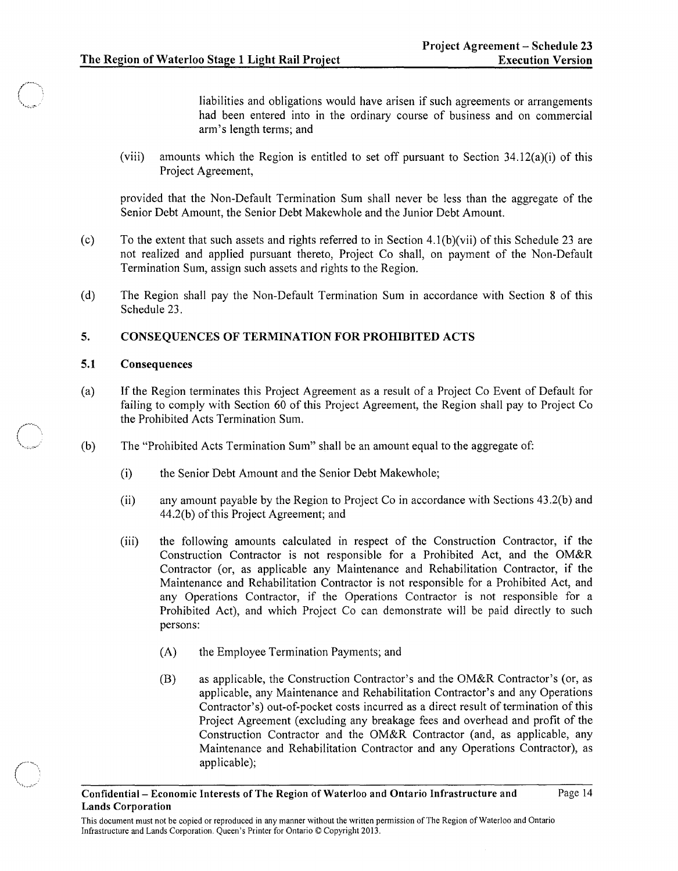liabilities and obligations would have arisen if such agreements or arrangements had been entered into in the ordinary course of business and on commercial arm's length terms; and

(viii) amounts which the Region is entitled to set off pursuant to Section  $34.12(a)(i)$  of this Project Agreement,

provided that the Non-Default Termination Sum shall never be less than the aggregate of the Senior Debt Amount, the Senior Debt Makewhole and the Junior Debt Amount.

- (c) To the extent that such assets and rights referred to in Section 4.1(b)(vii) of this Schedule 23 are not realized and applied pursuant thereto, Project Co shall, on payment of the Non-Default Termination Sum, assign such assets and rights to the Region.
- (d) The Region shall pay the Non-Default Termination Sum in accordance with Section 8 of this Schedule 23.

#### 5. CONSEQUENCES OF TERMINATION FOR PROHIBITED ACTS

#### 5.1 Consequences

 $\sqrt{2}$  $\qquad \qquad$ 

- (a) If the Region terminates this Project Agreement as a result of a Project Co Event of Default for failing to comply with Section 60 of this Project Agreement, the Region shall pay to Project Co the Prohibited Acts Termination Sum.
- (b) The "Prohibited Acts Termination Sum" shall be an amount equal to the aggregate of:
	- (i) the Senior Debt Amount and the Senior Debt Makewhole;
	- (ii) any amount payable by the Region to Project Co in accordance with Sections 43.2(b) and 44.2(b) of this Project Agreement; and
	- (iii) the following amounts calculated in respect of the Construction Contractor, if the Construction Contractor is not responsible for a Prohibited Act, and the OM&R Contractor (or, as applicable any Maintenance and Rehabilitation Contractor, if the Maintenance and Rehabilitation Contractor is not responsible for a Prohibited Act, and any Operations Contractor, if the Operations Contractor is not responsible for a Prohibited Act), and which Project Co can demonstrate will be paid directly to such persons:
		- (A) the Employee Termination Payments; and
		- (B) as applicable, the Construction Contractor's and the OM&R Contractor's (or, as applicable, any Maintenance and Rehabilitation Contractor's and any Operations Contractor's) out-of-pocket costs incurred as a direct result of termination of this Project Agreement (excluding any breakage fees and overhead and profit of the Construction Contractor and the OM&R Contractor (and, as applicable, any Maintenance and Rehabilitation Contractor and any Operations Contractor), as applicable);

This document must not be copied or reproduced in any manner without the written permission of The Region of Waterloo and Ontario Infrastructure and Lands Corporation. Queen's Printer for Ontario © Copyright 2013.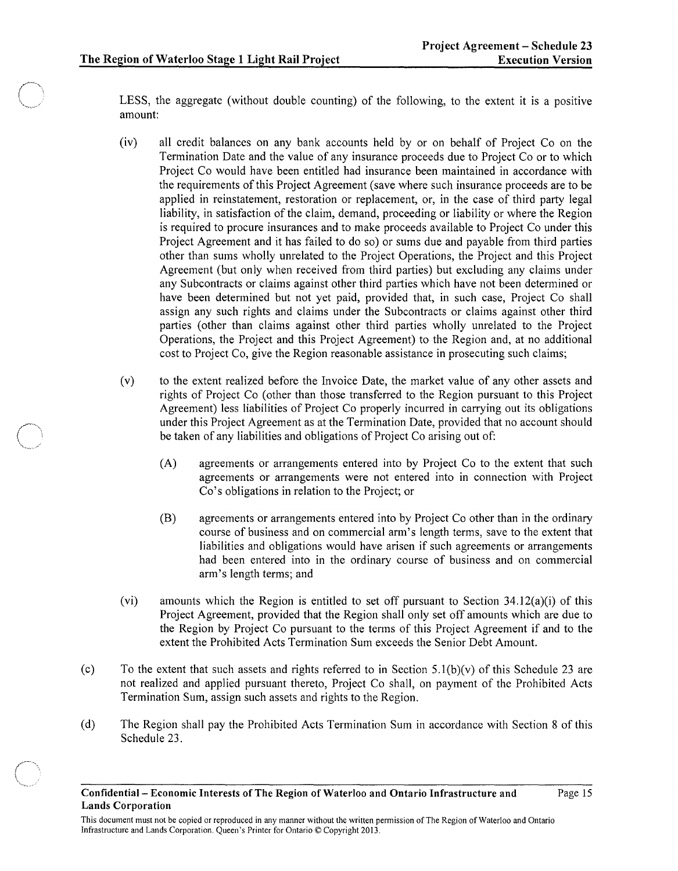LESS, the aggregate (without double counting) of the following, to the extent it is a positive amount:

- (iv) all credit balances on any bank accounts held by or on behalf of Project Co on the Termination Date and the value of any insurance proceeds due to Project Co or to which Project Co would have been entitled had insurance been maintained in accordance with the requirements of this Project Agreement (save where such insurance proceeds are to be applied in reinstatement, restoration or replacement, or, in the case of third party legal liability, in satisfaction of the claim, demand, proceeding or liability or where the Region is required to procure insurances and to make proceeds available to Project Co under this Project Agreement and it has failed to do so) or sums due and payable from third parties other than sums wholly unrelated to the Project Operations, the Project and this Project Agreement (but only when received from third parties) but excluding any claims under any Subcontracts or claims against other third parties which have not been determined or have been determined but not yet paid, provided that, in such case, Project Co shall assign any such rights and claims under the Subcontracts or claims against other third parties (other than claims against other third parties wholly unrelated to the Project Operations, the Project and this Project Agreement) to the Region and, at no additional cost to Project Co, give the Region reasonable assistance in prosecuting such claims;
- (v) to the extent realized before the Invoice Date, the market value of any other assets and rights of Project Co (other than those transferred to the Region pursuant to this Project Agreement) less liabilities of Project Co properly incurred in carrying out its obligations under this Project Agreement as at the Termination Date, provided that no account should be taken of any liabilities and obligations of Project Co arising out of:
	- (A) agreements or arrangements entered into by Project Co to the extent that such agreements or arrangements were not entered into in connection with Project Co's obligations in relation to the Project; or
	- (B) agreements or arrangements entered into by Project Co other than in the ordinary course of business and on commercial arm's length terms, save to the extent that liabilities and obligations would have arisen if such agreements or arrangements had been entered into in the ordinary course of business and on commercial arm's length terms; and
- (vi) amounts which the Region is entitled to set off pursuant to Section  $34.12(a)(i)$  of this Project Agreement, provided that the Region shall only set off amounts which are due to the Region by Project Co pursuant to the terms of this Project Agreement if and to the extent the Prohibited Acts Termination Sum exceeds the Senior Debt Amount.
- (c) To the extent that such assets and rights referred to in Section  $5.1(b)(v)$  of this Schedule 23 are not realized and applied pursuant thereto, Project Co shall, on payment of the Prohibited Acts Termination Sum, assign such assets and rights to the Region.
- (d) The Region shall pay the Prohibited Acts Termination Sum in accordance with Section 8 of this Schedule 23.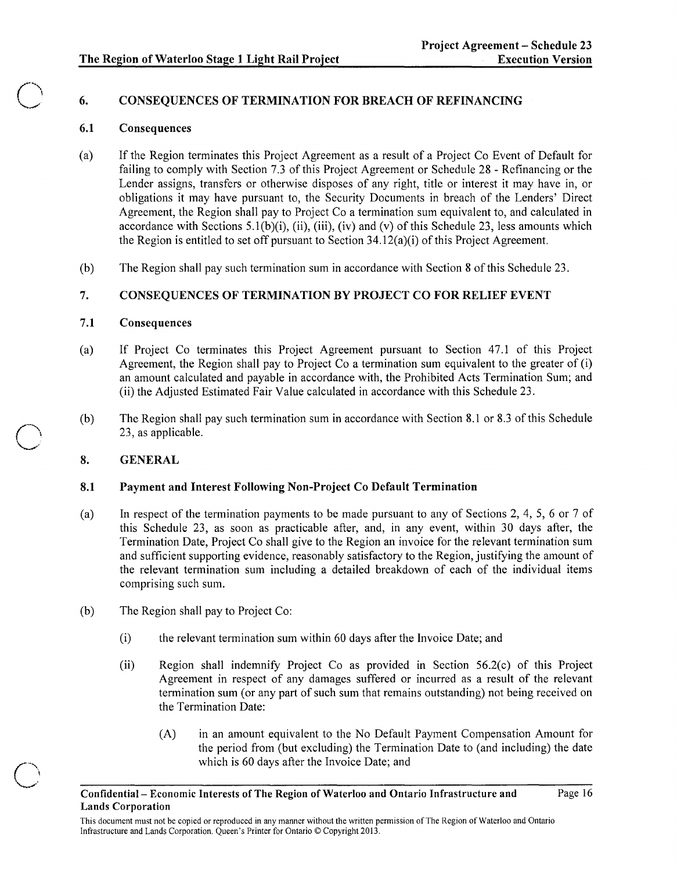# 6. CONSEQUENCES OF TERMINATION FOR BREACH OF REFINANCING

## 6.1 Consequences

o

o

- (a) If the Region terminates this Project Agreement as a result of a Project Co Event of Default for failing to comply with Section 7.3 of this Project Agreement or Schedule 28 - Refinancing or the Lender assigns, transfers or otherwise disposes of any right, title or interest it may have in, or obligations it may have pursuant to, the Security Documents in breach of the Lenders' Direct Agreement, the Region shall pay to Project Co a termination sum equivalent to, and calculated in accordance with Sections 5.1(b)(i), (ii), (iii), (iv) and (v) of this Schedule 23, less amounts which the Region is entitled to set off pursuant to Section  $34.12(a)(i)$  of this Project Agreement.
- (b) The Region shall pay such termination sum in accordance with Section 8 of this Schedule 23.

# 7. CONSEQUENCES OF TERMINATION BY PROJECT CO FOR RELIEF EVENT

## 7.1 Consequences

- (a) If Project Co terminates this Project Agreement pursuant to Section 47.1 of this Project Agreement, the Region shall pay to Project Co a termination sum equivalent to the greater of (i) an amount calculated and payable in accordance with, the Prohibited Acts Termination Sum; and (ii) the Adjusted Estimated Fair Value calculated in accordance with this Schedule 23.
- (b) The Region shall pay such termination sum in accordance with Section 8.1 or 8.3 of this Schedule 23, as applicable.

# 8. GENERAL

# 8.1 Payment and Interest Following Non-Project Co Default Termination

- (a) In respect of the termination payments to be made pursuant to any of Sections 2, 4, 5, 6 or 7 of this Schedule 23, as soon as practicable after, and, in any event, within 30 days after, the Termination Date, Project Co shall give to the Region an invoice for the relevant termination sum and sufficient supporting evidence, reasonably satisfactory to the Region, justifying the amount of the relevant termination sum including a detailed breakdown of each of the individual items comprising such sum.
- (b) The Region shall pay to Project Co:
	- (i) the relevant termination sum within 60 days after the Invoice Date; and
	- (ii) Region shall indemnify Project Co as provided in Section 56.2(c) of this Project Agreement in respect of any damages suffered or incurred as a result of the relevant termination sum (or any part of such sum that remains outstanding) not being received on the Termination Date:
		- (A) in an amount equivalent to the No Default Payment Compensation Amount for the period from (but excluding) the Termination Date to (and including) the date which is 60 days after the Invoice Date; and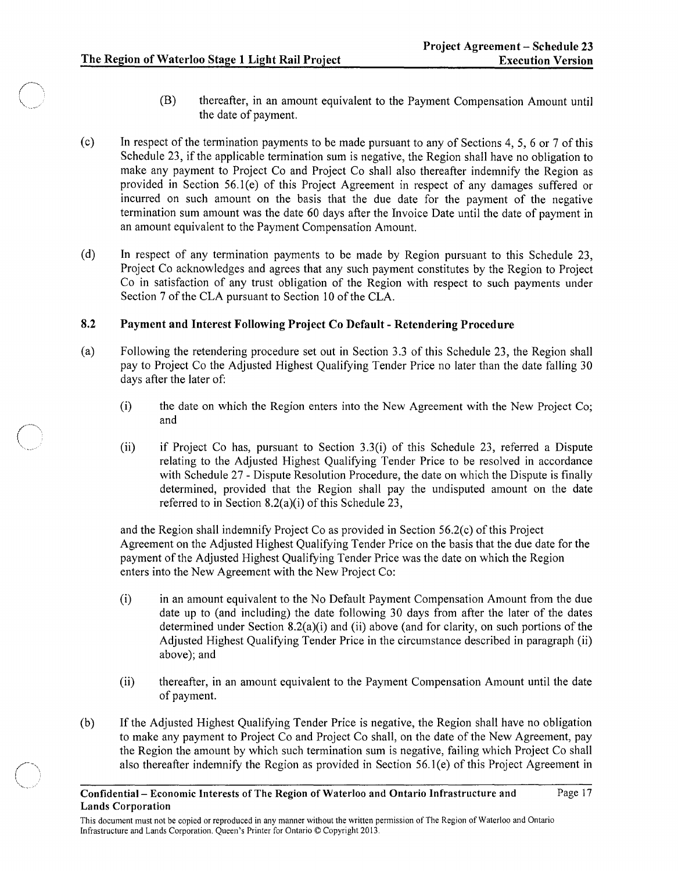$\bigcap$ 

 $\overline{\phantom{a}}$ 

- (B) thereafter, in an amount equivalent to the Payment Compensation Amount until the date of payment.
- (c) In respect of the termination payments to be made pursuant to any of Sections 4, 5, 6 or 7 of this Schedule 23, if the applicable termination sum is negative, the Region shall have no obligation to make any payment to Project Co and Project Co shall also thereafter indemnify the Region as provided in Section 56.1(e) of this Project Agreement in respect of any damages suffered or incurred on such amount on the basis that the due date for the payment of the negative termination sum amount was the date 60 days after the Invoice Date until the date of payment in an amount equivalent to the Payment Compensation Amount.
- (d) In respect of any termination payments to be made by Region pursuant to this Schedule 23, Project Co acknowledges and agrees that any such payment constitutes by the Region to Project Co in satisfaction of any trust obligation of the Region with respect to such payments under Section 7 of the CLA pursuant to Section 10 of the CLA.

### 8.2 Payment and Interest Following Project Co Default - Retendering Procedure

- (a) Following the retendering procedure set out in Section 3.3 of this Schedule 23, the Region shall pay to Project Co the Adjusted Highest Qualifying Tender Price no later than the date falling 30 days after the later of:
	- (i) the date on which the Region enters into the New Agreement with the New Project Co; and
	- (ii) if Project Co has, pursuant to Section 3.3(i) of this Schedule 23, referred a Dispute relating to the Adjusted Highest Qualifying Tender Price to be resolved in accordance with Schedule 27 - Dispute Resolution Procedure, the date on which the Dispute is finally determined, provided that the Region shall pay the undisputed amount on the date referred to in Section 8.2(a)(i) of this Schedule 23,

and the Region shall indemnify Project Co as provided in Section 56.2(c) of this Project Agreement on the Adjusted Highest Qualifying Tender Price on the basis that the due date for the payment of the Adjusted Highest Qualifying Tender Price was the date on which the Region enters into the New Agreement with the New Project Co:

- (i) in an amount equivalent to the No Default Payment Compensation Amount from the due date up to (and including) the date following 30 days from after the later of the dates determined under Section 8.2(a)(i) and (ii) above (and for clarity, on such portions of the Adjusted Highest Qualifying Tender Price in the circumstance described in paragraph (ii) above); and
- (ii) thereafter, in an amount equivalent to the Payment Compensation Amount until the date of payment.
- (b) If the Adjusted Highest Qualifying Tender Price is negative, the Region shall have no obligation to make any payment to Project Co and Project Co shall, on the date of the New Agreement, pay the Region the amount by which such termination sum is negative, failing which Project Co shall also thereafter indemnify the Region as provided in Section 56.I(e) of this Project Agreement in